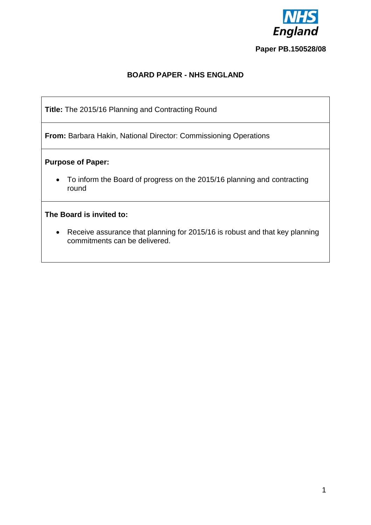

# **Paper PB.150528/08**

# **BOARD PAPER - NHS ENGLAND**

**Title:** The 2015/16 Planning and Contracting Round

**From:** Barbara Hakin, National Director: Commissioning Operations

### **Purpose of Paper:**

 To inform the Board of progress on the 2015/16 planning and contracting round

### **The Board is invited to:**

 Receive assurance that planning for 2015/16 is robust and that key planning commitments can be delivered.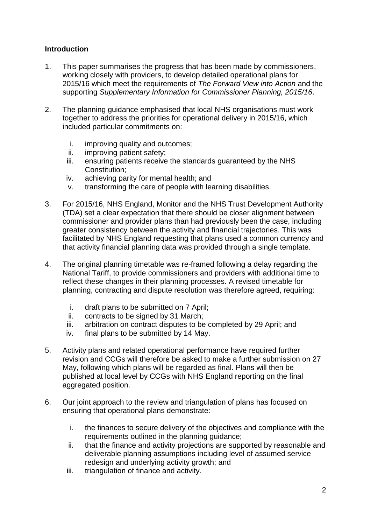## **Introduction**

- 1. This paper summarises the progress that has been made by commissioners, working closely with providers, to develop detailed operational plans for 2015/16 which meet the requirements of *The Forward View into Action* and the supporting *Supplementary Information for Commissioner Planning, 2015/16*.
- 2. The planning guidance emphasised that local NHS organisations must work together to address the priorities for operational delivery in 2015/16, which included particular commitments on:
	- i. improving quality and outcomes;
	- ii. improving patient safety;
	- iii. ensuring patients receive the standards guaranteed by the NHS Constitution;
	- iv. achieving parity for mental health; and
	- v. transforming the care of people with learning disabilities.
- 3. For 2015/16, NHS England, Monitor and the NHS Trust Development Authority (TDA) set a clear expectation that there should be closer alignment between commissioner and provider plans than had previously been the case, including greater consistency between the activity and financial trajectories. This was facilitated by NHS England requesting that plans used a common currency and that activity financial planning data was provided through a single template.
- 4. The original planning timetable was re-framed following a delay regarding the National Tariff, to provide commissioners and providers with additional time to reflect these changes in their planning processes. A revised timetable for planning, contracting and dispute resolution was therefore agreed, requiring:
	- i. draft plans to be submitted on 7 April;
	- ii. contracts to be signed by 31 March;
	- iii. arbitration on contract disputes to be completed by 29 April; and
	- iv. final plans to be submitted by 14 May.
- 5. Activity plans and related operational performance have required further revision and CCGs will therefore be asked to make a further submission on 27 May, following which plans will be regarded as final. Plans will then be published at local level by CCGs with NHS England reporting on the final aggregated position.
- 6. Our joint approach to the review and triangulation of plans has focused on ensuring that operational plans demonstrate:
	- i. the finances to secure delivery of the objectives and compliance with the requirements outlined in the planning guidance;
	- ii. that the finance and activity projections are supported by reasonable and deliverable planning assumptions including level of assumed service redesign and underlying activity growth; and
	- iii. triangulation of finance and activity.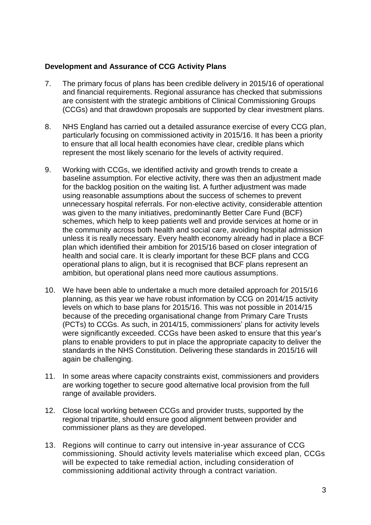### **Development and Assurance of CCG Activity Plans**

- 7. The primary focus of plans has been credible delivery in 2015/16 of operational and financial requirements. Regional assurance has checked that submissions are consistent with the strategic ambitions of Clinical Commissioning Groups (CCGs) and that drawdown proposals are supported by clear investment plans.
- 8. NHS England has carried out a detailed assurance exercise of every CCG plan, particularly focusing on commissioned activity in 2015/16. It has been a priority to ensure that all local health economies have clear, credible plans which represent the most likely scenario for the levels of activity required.
- 9. Working with CCGs, we identified activity and growth trends to create a baseline assumption. For elective activity, there was then an adjustment made for the backlog position on the waiting list. A further adjustment was made using reasonable assumptions about the success of schemes to prevent unnecessary hospital referrals. For non-elective activity, considerable attention was given to the many initiatives, predominantly Better Care Fund (BCF) schemes, which help to keep patients well and provide services at home or in the community across both health and social care, avoiding hospital admission unless it is really necessary. Every health economy already had in place a BCF plan which identified their ambition for 2015/16 based on closer integration of health and social care. It is clearly important for these BCF plans and CCG operational plans to align, but it is recognised that BCF plans represent an ambition, but operational plans need more cautious assumptions.
- 10. We have been able to undertake a much more detailed approach for 2015/16 planning, as this year we have robust information by CCG on 2014/15 activity levels on which to base plans for 2015/16. This was not possible in 2014/15 because of the preceding organisational change from Primary Care Trusts (PCTs) to CCGs. As such, in 2014/15, commissioners' plans for activity levels were significantly exceeded. CCGs have been asked to ensure that this year's plans to enable providers to put in place the appropriate capacity to deliver the standards in the NHS Constitution. Delivering these standards in 2015/16 will again be challenging.
- 11. In some areas where capacity constraints exist, commissioners and providers are working together to secure good alternative local provision from the full range of available providers.
- 12. Close local working between CCGs and provider trusts, supported by the regional tripartite, should ensure good alignment between provider and commissioner plans as they are developed.
- 13. Regions will continue to carry out intensive in-year assurance of CCG commissioning. Should activity levels materialise which exceed plan, CCGs will be expected to take remedial action, including consideration of commissioning additional activity through a contract variation.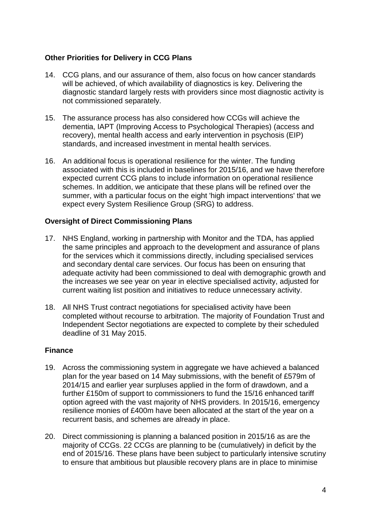### **Other Priorities for Delivery in CCG Plans**

- 14. CCG plans, and our assurance of them, also focus on how cancer standards will be achieved, of which availability of diagnostics is key. Delivering the diagnostic standard largely rests with providers since most diagnostic activity is not commissioned separately.
- 15. The assurance process has also considered how CCGs will achieve the dementia, IAPT (Improving Access to Psychological Therapies) (access and recovery), mental health access and early intervention in psychosis (EIP) standards, and increased investment in mental health services.
- 16. An additional focus is operational resilience for the winter. The funding associated with this is included in baselines for 2015/16, and we have therefore expected current CCG plans to include information on operational resilience schemes. In addition, we anticipate that these plans will be refined over the summer, with a particular focus on the eight 'high impact interventions' that we expect every System Resilience Group (SRG) to address.

### **Oversight of Direct Commissioning Plans**

- 17. NHS England, working in partnership with Monitor and the TDA, has applied the same principles and approach to the development and assurance of plans for the services which it commissions directly, including specialised services and secondary dental care services. Our focus has been on ensuring that adequate activity had been commissioned to deal with demographic growth and the increases we see year on year in elective specialised activity, adjusted for current waiting list position and initiatives to reduce unnecessary activity.
- 18. All NHS Trust contract negotiations for specialised activity have been completed without recourse to arbitration. The majority of Foundation Trust and Independent Sector negotiations are expected to complete by their scheduled deadline of 31 May 2015.

### **Finance**

- 19. Across the commissioning system in aggregate we have achieved a balanced plan for the year based on 14 May submissions, with the benefit of £579m of 2014/15 and earlier year surpluses applied in the form of drawdown, and a further £150m of support to commissioners to fund the 15/16 enhanced tariff option agreed with the vast majority of NHS providers. In 2015/16, emergency resilience monies of £400m have been allocated at the start of the year on a recurrent basis, and schemes are already in place.
- 20. Direct commissioning is planning a balanced position in 2015/16 as are the majority of CCGs. 22 CCGs are planning to be (cumulatively) in deficit by the end of 2015/16. These plans have been subject to particularly intensive scrutiny to ensure that ambitious but plausible recovery plans are in place to minimise